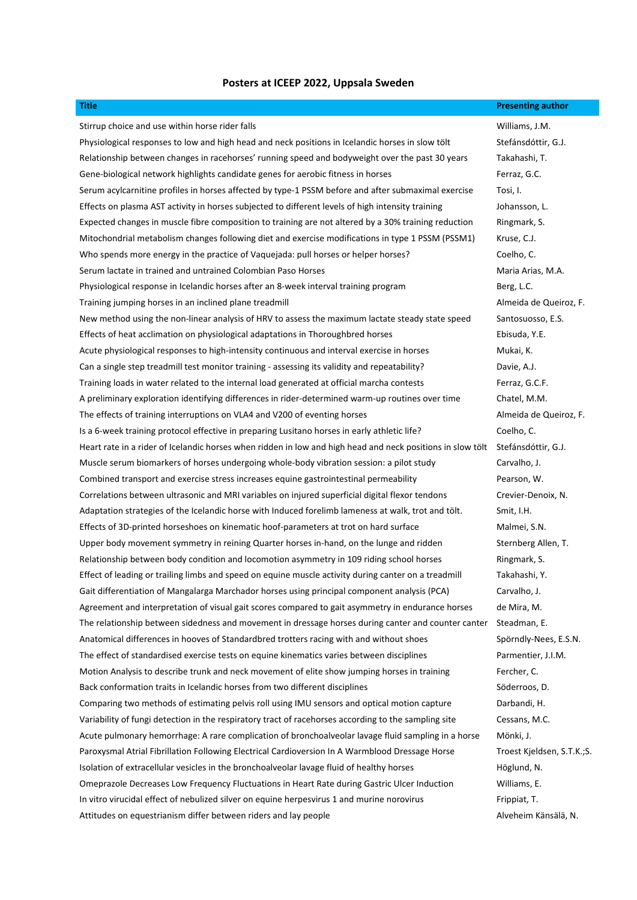## **Posters at ICEEP 2022, Uppsala Sweden**

| <b>Title</b>                                                                                               | <b>Presenting author</b>   |
|------------------------------------------------------------------------------------------------------------|----------------------------|
| Stirrup choice and use within horse rider falls                                                            | Williams, J.M.             |
| Physiological responses to low and high head and neck positions in Icelandic horses in slow tölt           | Stefánsdóttir, G.J.        |
| Relationship between changes in racehorses' running speed and bodyweight over the past 30 years            | Takahashi, T.              |
| Gene-biological network highlights candidate genes for aerobic fitness in horses                           | Ferraz, G.C.               |
| Serum acylcarnitine profiles in horses affected by type-1 PSSM before and after submaximal exercise        | Tosi, I.                   |
| Effects on plasma AST activity in horses subjected to different levels of high intensity training          | Johansson, L.              |
| Expected changes in muscle fibre composition to training are not altered by a 30% training reduction       | Ringmark, S.               |
| Mitochondrial metabolism changes following diet and exercise modifications in type 1 PSSM (PSSM1)          | Kruse, C.J.                |
| Who spends more energy in the practice of Vaquejada: pull horses or helper horses?                         | Coelho, C.                 |
| Serum lactate in trained and untrained Colombian Paso Horses                                               | Maria Arias, M.A.          |
| Physiological response in Icelandic horses after an 8-week interval training program                       | Berg, L.C.                 |
| Training jumping horses in an inclined plane treadmill                                                     | Almeida de Queiroz, F.     |
| New method using the non-linear analysis of HRV to assess the maximum lactate steady state speed           | Santosuosso, E.S.          |
| Effects of heat acclimation on physiological adaptations in Thoroughbred horses                            | Ebisuda, Y.E.              |
| Acute physiological responses to high-intensity continuous and interval exercise in horses                 | Mukai, K.                  |
| Can a single step treadmill test monitor training - assessing its validity and repeatability?              | Davie, A.J.                |
| Training loads in water related to the internal load generated at official marcha contests                 | Ferraz, G.C.F.             |
| A preliminary exploration identifying differences in rider-determined warm-up routines over time           | Chatel, M.M.               |
| The effects of training interruptions on VLA4 and V200 of eventing horses                                  | Almeida de Queiroz, F.     |
| Is a 6-week training protocol effective in preparing Lusitano horses in early athletic life?               | Coelho, C.                 |
| Heart rate in a rider of Icelandic horses when ridden in low and high head and neck positions in slow tölt | Stefánsdóttir, G.J.        |
| Muscle serum biomarkers of horses undergoing whole-body vibration session: a pilot study                   | Carvalho, J.               |
| Combined transport and exercise stress increases equine gastrointestinal permeability                      | Pearson, W.                |
| Correlations between ultrasonic and MRI variables on injured superficial digital flexor tendons            | Crevier-Denoix, N.         |
| Adaptation strategies of the Icelandic horse with Induced forelimb lameness at walk, trot and tölt.        | Smit, I.H.                 |
| Effects of 3D-printed horseshoes on kinematic hoof-parameters at trot on hard surface                      | Malmei, S.N.               |
| Upper body movement symmetry in reining Quarter horses in-hand, on the lunge and ridden                    | Sternberg Allen, T.        |
| Relationship between body condition and locomotion asymmetry in 109 riding school horses                   | Ringmark, S.               |
| Effect of leading or trailing limbs and speed on equine muscle activity during canter on a treadmill       | Takahashi, Y.              |
| Gait differentiation of Mangalarga Marchador horses using principal component analysis (PCA)               | Carvalho, J.               |
| Agreement and interpretation of visual gait scores compared to gait asymmetry in endurance horses          | de Mira, M.                |
| The relationship between sidedness and movement in dressage horses during canter and counter canter        | Steadman, E.               |
| Anatomical differences in hooves of Standardbred trotters racing with and without shoes                    | Spörndly-Nees, E.S.N.      |
| The effect of standardised exercise tests on equine kinematics varies between disciplines                  | Parmentier, J.I.M.         |
| Motion Analysis to describe trunk and neck movement of elite show jumping horses in training               | Fercher, C.                |
| Back conformation traits in Icelandic horses from two different disciplines                                | Söderroos, D.              |
| Comparing two methods of estimating pelvis roll using IMU sensors and optical motion capture               | Darbandi, H.               |
| Variability of fungi detection in the respiratory tract of racehorses according to the sampling site       | Cessans, M.C.              |
| Acute pulmonary hemorrhage: A rare complication of bronchoalveolar lavage fluid sampling in a horse        | Mönki, J.                  |
| Paroxysmal Atrial Fibrillation Following Electrical Cardioversion In A Warmblood Dressage Horse            | Troest Kjeldsen, S.T.K.;S. |
| Isolation of extracellular vesicles in the bronchoalveolar lavage fluid of healthy horses                  | Höglund, N.                |
| Omeprazole Decreases Low Frequency Fluctuations in Heart Rate during Gastric Ulcer Induction               | Williams, E.               |
| In vitro virucidal effect of nebulized silver on equine herpesvirus 1 and murine norovirus                 | Frippiat, T.               |
| Attitudes on equestrianism differ between riders and lay people                                            | Alveheim Känsälä, N.       |